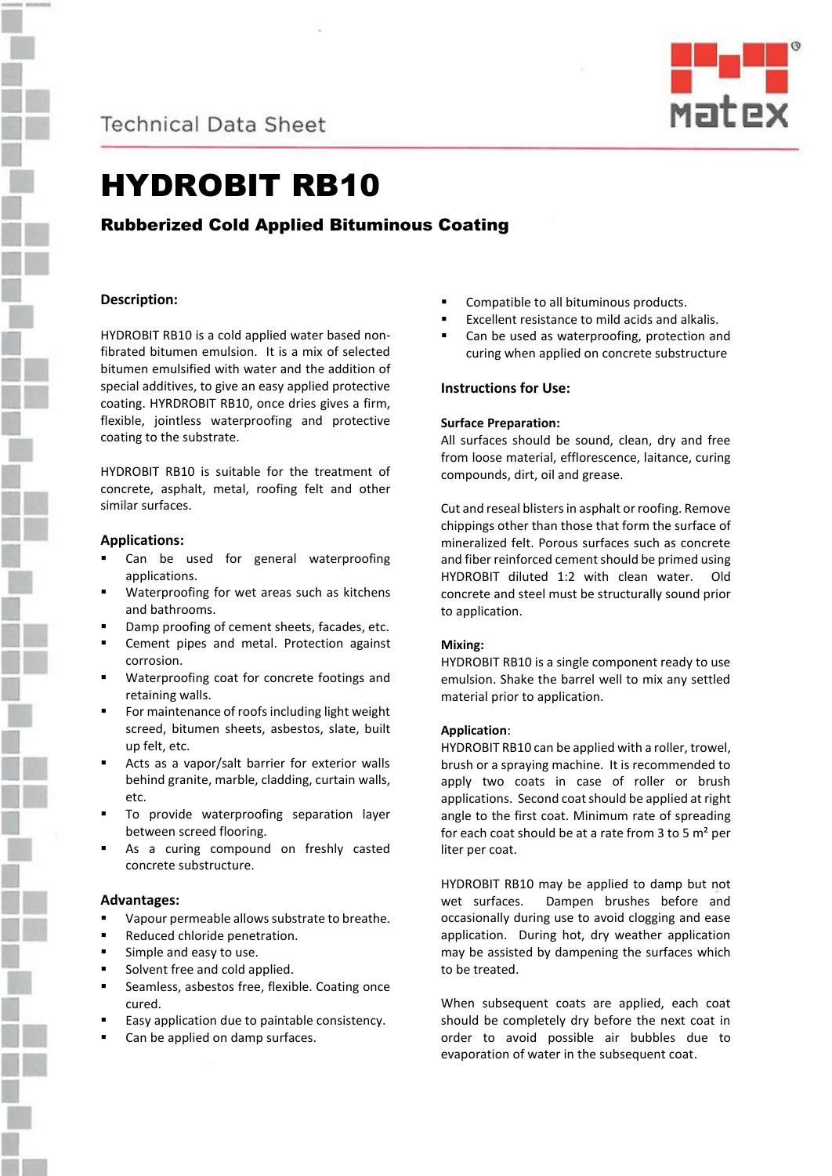

**Technical Data Sheet** 



# HYDROBIT RB10

# Rubberized Cold Applied Bituminous Coating

# **Description:**

HYDROBIT RB10 is a cold applied water based nonfibrated bitumen emulsion. It is a mix of selected bitumen emulsified with water and the addition of special additives, to give an easy applied protective coating. HYRDROBIT RB10, once dries gives a firm, flexible, jointless waterproofing and protective coating to the substrate.

HYDROBIT RB10 is suitable for the treatment of concrete, asphalt, metal, roofing felt and other similar surfaces.

### **Applications:**

- Can be used for general waterproofing applications.
- Waterproofing for wet areas such as kitchens and bathrooms.
- Damp proofing of cement sheets, facades, etc.
- Cement pipes and metal. Protection against corrosion.
- Waterproofing coat for concrete footings and retaining walls.
- For maintenance of roofs including light weight screed, bitumen sheets, asbestos, slate, built up felt, etc.
- Acts as a vapor/salt barrier for exterior walls behind granite, marble, cladding, curtain walls, etc.
- To provide waterproofing separation layer between screed flooring.
- As a curing compound on freshly casted concrete substructure.

# **Advantages:**

- Vapour permeable allows substrate to breathe.
- Reduced chloride penetration.
- Simple and easy to use.
- Solvent free and cold applied.
- Seamless, asbestos free, flexible. Coating once cured.
- Easy application due to paintable consistency.
- Can be applied on damp surfaces.
- Compatible to all bituminous products.
- Excellent resistance to mild acids and alkalis.
- Can be used as waterproofing, protection and curing when applied on concrete substructure

# **Instructions for Use:**

### **Surface Preparation:**

All surfaces should be sound, clean, dry and free from loose material, efflorescence, laitance, curing compounds, dirt, oil and grease.

Cut and reseal blisters in asphalt or roofing. Remove chippings other than those that form the surface of mineralized felt. Porous surfaces such as concrete and fiber reinforced cement should be primed using HYDROBIT diluted 1:2 with clean water. Old concrete and steel must be structurally sound prior to application.

# **Mixing:**

HYDROBIT RB10 is a single component ready to use emulsion. Shake the barrel well to mix any settled material prior to application.

### **Application**:

HYDROBIT RB10 can be applied with a roller, trowel, brush or a spraying machine. It is recommended to apply two coats in case of roller or brush applications. Second coat should be applied at right angle to the first coat. Minimum rate of spreading for each coat should be at a rate from 3 to 5  $m<sup>2</sup>$  per liter per coat.

HYDROBIT RB10 may be applied to damp but not wet surfaces. Dampen brushes before and occasionally during use to avoid clogging and ease application. During hot, dry weather application may be assisted by dampening the surfaces which to be treated.

When subsequent coats are applied, each coat should be completely dry before the next coat in order to avoid possible air bubbles due to evaporation of water in the subsequent coat.